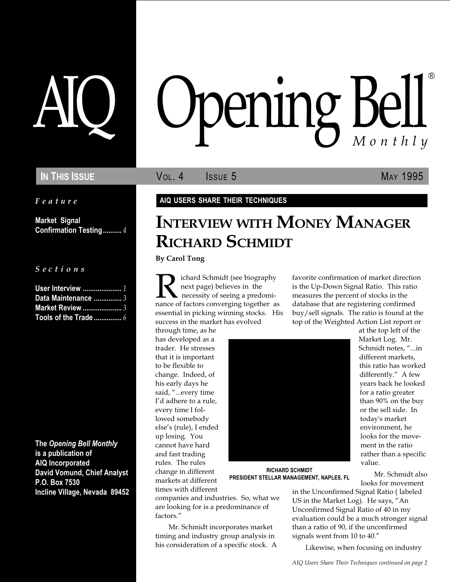Feature

Market Signal Confirmation Testing .......... 4

S e c t i o n s

| User Interview  1       |  |
|-------------------------|--|
| Data Maintenance  3     |  |
| <b>Market Review </b> 3 |  |
|                         |  |

The Opening Bell Monthly is a publication of AIQ Incorporated David Vomund, Chief Analyst P.O. Box 7530 Incline Village, Nevada 89452

# AIQ Opening Bell ®

IN THIS ISSUE **VOL. 4** ISSUE 5 MAY 1995

AIQ USERS SHARE THEIR TECHNIQUES

# INTERVIEW WITH MONEY MANAGER RICHARD SCHMIDT

By Carol Tong

**R**ichard Schmidt (see biography<br>next page) believes in the<br>nance of factors converging together as next page) believes in the necessity of seeing a predomiessential in picking winning stocks. His success in the market has evolved

through time, as he has developed as a trader. He stresses that it is important to be flexible to change. Indeed, of his early days he said, "...every time I'd adhere to a rule, every time I followed somebody else's (rule), I ended up losing. You cannot have hard and fast trading rules. The rules change in different markets at different times with different



at the top left of the Market Log. Mr. Schmidt notes, "...in different markets, this ratio has worked differently." A few years back he looked for a ratio greater than 90% on the buy or the sell side. In today's market environment, he looks for the movement in the ratio rather than a specific value.

Mr. Schmidt also looks for movement

RICHARD SCHMIDT PRESIDENT STELLAR MANAGEMENT, NAPLES, FL

companies and industries. So, what we are looking for is a predominance of factors.

Mr. Schmidt incorporates market timing and industry group analysis in his consideration of a specific stock. A in the Unconfirmed Signal Ratio ( labeled US in the Market Log). He says, "An Unconfirmed Signal Ratio of 40 in my evaluation could be a much stronger signal than a ratio of 90, if the unconfirmed signals went from 10 to 40."

favorite confirmation of market direction is the Up-Down Signal Ratio. This ratio measures the percent of stocks in the database that are registering confirmed buy/sell signals. The ratio is found at the top of the Weighted Action List report or

Likewise, when focusing on industry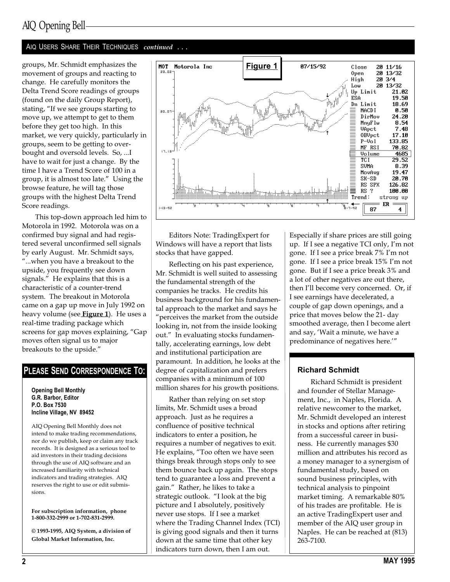## AIQ Opening Bell

#### AIQ USERS SHARE THEIR TECHNIQUES continued ...

groups, Mr. Schmidt emphasizes the movement of groups and reacting to change. He carefully monitors the Delta Trend Score readings of groups (found on the daily Group Report), stating, "If we see groups starting to move up, we attempt to get to them before they get too high. In this market, we very quickly, particularly in groups, seem to be getting to overbought and oversold levels. So, ...I have to wait for just a change. By the time I have a Trend Score of 100 in a group, it is almost too late." Using the browse feature, he will tag those groups with the highest Delta Trend Score readings.

This top-down approach led him to Motorola in 1992. Motorola was on a confirmed buy signal and had registered several unconfirmed sell signals by early August. Mr. Schmidt says, ...when you have a breakout to the upside, you frequently see down signals." He explains that this is a characteristic of a counter-trend system. The breakout in Motorola came on a gap up move in July 1992 on heavy volume (see Figure 1). He uses a real-time trading package which screens for gap moves explaining, "Gap moves often signal us to major breakouts to the upside.

#### PLEASE SEND CORRESPONDENCE TO:

#### Opening Bell Monthly G.R. Barbor, Editor P.O. Box 7530 Incline Village, NV 89452

AIQ Opening Bell Monthly does not intend to make trading recommendations, nor do we publish, keep or claim any track records. It is designed as a serious tool to aid investors in their trading decisions through the use of AIQ software and an increased familiarity with technical indicators and trading strategies. AIQ reserves the right to use or edit submissions.

For subscription information, phone 1-800-332-2999 or 1-702-831-2999.

© 1993-1995, AIQ System, a division of Global Market Information, Inc.



Editors Note: TradingExpert for Windows will have a report that lists stocks that have gapped.

Reflecting on his past experience, Mr. Schmidt is well suited to assessing the fundamental strength of the companies he tracks. He credits his business background for his fundamental approach to the market and says he perceives the market from the outside looking in, not from the inside looking out." In evaluating stocks fundamentally, accelerating earnings, low debt and institutional participation are paramount. In addition, he looks at the degree of capitalization and prefers companies with a minimum of 100 million shares for his growth positions.

Rather than relying on set stop limits, Mr. Schmidt uses a broad approach. Just as he requires a confluence of positive technical indicators to enter a position, he requires a number of negatives to exit. He explains, "Too often we have seen things break through stops only to see them bounce back up again. The stops tend to guarantee a loss and prevent a gain." Rather, he likes to take a strategic outlook. "I look at the big picture and I absolutely, positively never use stops. If I see a market where the Trading Channel Index (TCI) is giving good signals and then it turns down at the same time that other key indicators turn down, then I am out.

Especially if share prices are still going up. If I see a negative  $TCI$  only, I'm not gone. If I see a price break 7% I'm not gone. If I see a price break 15% I'm not gone. But if I see a price break 3% and a lot of other negatives are out there, then I'll become very concerned. Or, if I see earnings have decelerated, a couple of gap down openings, and a price that moves below the 21- day smoothed average, then I become alert and say, Wait a minute, we have a predominance of negatives here.

#### Richard Schmidt

Richard Schmidt is president and founder of Stellar Management, Inc., in Naples, Florida. A relative newcomer to the market, Mr. Schmidt developed an interest in stocks and options after retiring from a successful career in business. He currently manages \$30 million and attributes his record as a money manager to a synergism of fundamental study, based on sound business principles, with technical analysis to pinpoint market timing. A remarkable 80% of his trades are profitable. He is an active TradingExpert user and member of the AIQ user group in Naples. He can be reached at (813) 263-7100.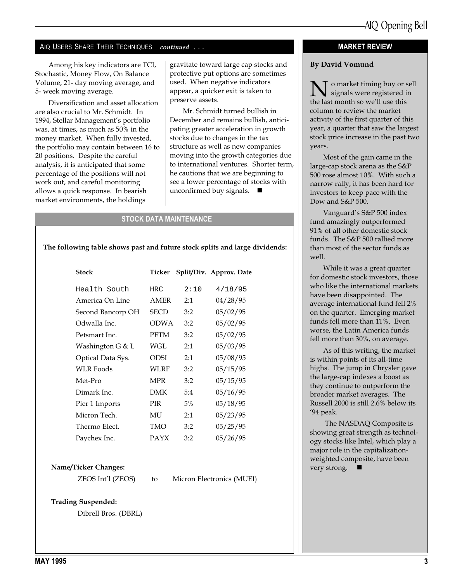#### AIQ USERS SHARE THEIR TECHNIQUES continued ...

Among his key indicators are TCI, Stochastic, Money Flow, On Balance Volume, 21- day moving average, and 5- week moving average.

Diversification and asset allocation are also crucial to Mr. Schmidt. In 1994, Stellar Management's portfolio was, at times, as much as 50% in the money market. When fully invested, the portfolio may contain between 16 to 20 positions. Despite the careful analysis, it is anticipated that some percentage of the positions will not work out, and careful monitoring allows a quick response. In bearish market environments, the holdings

gravitate toward large cap stocks and protective put options are sometimes used. When negative indicators appear, a quicker exit is taken to preserve assets.

Mr. Schmidt turned bullish in December and remains bullish, anticipating greater acceleration in growth stocks due to changes in the tax structure as well as new companies moving into the growth categories due to international ventures. Shorter term, he cautions that we are beginning to see a lower percentage of stocks with unconfirmed buy signals.  $\blacksquare$ 

#### STOCK DATA MAINTENANCE

The following table shows past and future stock splits and large dividends:

| <b>Stock</b>      | Ticker      |      | Split/Div. Approx. Date |
|-------------------|-------------|------|-------------------------|
| Health South      | HRC         | 2:10 | 4/18/95                 |
| America On Line   | <b>AMER</b> | 2:1  | 04/28/95                |
| Second Bancorp OH | SECD        | 3:2  | 05/02/95                |
| Odwalla Inc.      | <b>ODWA</b> | 3:2  | 05/02/95                |
| Petsmart Inc.     | <b>PETM</b> | 3:2  | 05/02/95                |
| Washington G & L  | WGL         | 2:1  | 05/03/95                |
| Optical Data Sys. | ODSI        | 2:1  | 05/08/95                |
| <b>WLR Foods</b>  | WLRF        | 3:2  | 05/15/95                |
| Met-Pro           | <b>MPR</b>  | 3:2  | 05/15/95                |
| Dimark Inc.       | <b>DMK</b>  | 5:4  | 05/16/95                |
| Pier 1 Imports    | <b>PIR</b>  | 5%   | 05/18/95                |
| Micron Tech.      | МU          | 2:1  | 05/23/95                |
| Thermo Elect.     | TMO         | 3:2  | 05/25/95                |
| Paychex Inc.      | <b>PAYX</b> | 3:2  | 05/26/95                |

#### Name/Ticker Changes:

ZEOS Int'l (ZEOS) to Micron Electronics (MUEI)

Trading Suspended:

Dibrell Bros. (DBRL)

#### MARKET REVIEW

#### By David Vomund

 $\sum$  o market timing buy or sell<br>the last month so we'll use this the last month so we'll use this column to review the market activity of the first quarter of this year, a quarter that saw the largest stock price increase in the past two years.

Most of the gain came in the large-cap stock arena as the S&P 500 rose almost 10%. With such a narrow rally, it has been hard for investors to keep pace with the Dow and S&P 500.

Vanguard's S&P 500 index fund amazingly outperformed 91% of all other domestic stock funds. The S&P 500 rallied more than most of the sector funds as well.

While it was a great quarter for domestic stock investors, those who like the international markets have been disappointed. The average international fund fell 2% on the quarter. Emerging market funds fell more than 11%. Even worse, the Latin America funds fell more than 30%, on average.

As of this writing, the market is within points of its all-time highs. The jump in Chrysler gave the large-cap indexes a boost as they continue to outperform the broader market averages. The Russell 2000 is still 2.6% below its 94 peak.

 The NASDAQ Composite is showing great strength as technology stocks like Intel, which play a major role in the capitalizationweighted composite, have been very strong.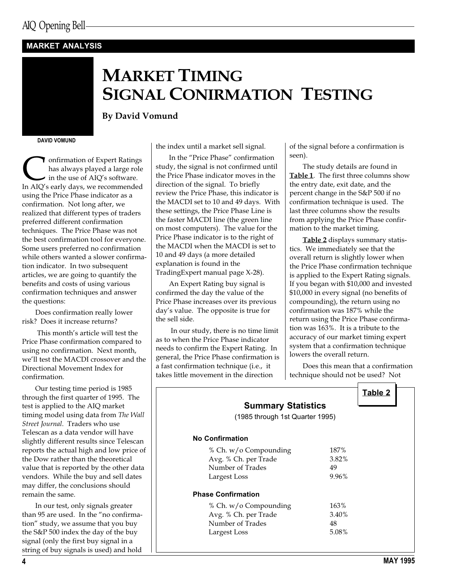#### MARKET ANALYSIS

## MARKET TIMING SIGNAL CONIRMATION TESTING

By David Vomund

DAVID VOMUND

**Confirmation of Expert Ratings**<br>has always played a large role<br>in AIQ's early days, we recommended has always played a large role in the use of AIQ's software. using the Price Phase indicator as a confirmation. Not long after, we realized that different types of traders preferred different confirmation techniques. The Price Phase was not the best confirmation tool for everyone. Some users preferred no confirmation while others wanted a slower confirmation indicator. In two subsequent articles, we are going to quantify the benefits and costs of using various confirmation techniques and answer the questions:

Does confirmation really lower risk? Does it increase returns?

This month's article will test the Price Phase confirmation compared to using no confirmation. Next month, we'll test the MACDI crossover and the Directional Movement Index for confirmation.

Our testing time period is 1985 through the first quarter of 1995. The test is applied to the AIQ market timing model using data from The Wall Street Journal. Traders who use Telescan as a data vendor will have slightly different results since Telescan reports the actual high and low price of the Dow rather than the theoretical value that is reported by the other data vendors. While the buy and sell dates may differ, the conclusions should remain the same.

In our test, only signals greater than 95 are used. In the "no confirmation" study, we assume that you buy the S&P 500 index the day of the buy signal (only the first buy signal in a string of buy signals is used) and hold

the index until a market sell signal.

In the "Price Phase" confirmation study, the signal is not confirmed until the Price Phase indicator moves in the direction of the signal. To briefly review the Price Phase, this indicator is the MACDI set to 10 and 49 days. With these settings, the Price Phase Line is the faster MACDI line (the green line on most computers). The value for the Price Phase indicator is to the right of the MACDI when the MACDI is set to 10 and 49 days (a more detailed explanation is found in the TradingExpert manual page X-28).

An Expert Rating buy signal is confirmed the day the value of the Price Phase increases over its previous day's value. The opposite is true for the sell side.

 In our study, there is no time limit as to when the Price Phase indicator needs to confirm the Expert Rating. In general, the Price Phase confirmation is a fast confirmation technique (i.e., it takes little movement in the direction

of the signal before a confirmation is seen).

The study details are found in Table 1. The first three columns show the entry date, exit date, and the percent change in the S&P 500 if no confirmation technique is used. The last three columns show the results from applying the Price Phase confirmation to the market timing.

Table 2 displays summary statistics. We immediately see that the overall return is slightly lower when the Price Phase confirmation technique is applied to the Expert Rating signals. If you began with \$10,000 and invested \$10,000 in every signal (no benefits of compounding), the return using no confirmation was 187% while the return using the Price Phase confirmation was 163%. It is a tribute to the accuracy of our market timing expert system that a confirmation technique lowers the overall return.

Does this mean that a confirmation technique should not be used? Not

| <b>Summary Statistics</b>       |       |  |
|---------------------------------|-------|--|
| (1985 through 1st Quarter 1995) |       |  |
| <b>No Confirmation</b>          |       |  |
| % Ch. w/o Compounding           | 187%  |  |
| Avg. % Ch. per Trade            | 3.82% |  |
| Number of Trades                | 49    |  |
| Largest Loss                    | 9.96% |  |
| <b>Phase Confirmation</b>       |       |  |
| % Ch. w/o Compounding           | 163%  |  |
| Avg. % Ch. per Trade            | 3.40% |  |
| Number of Trades                | 48    |  |
| Largest Loss                    | 5.08% |  |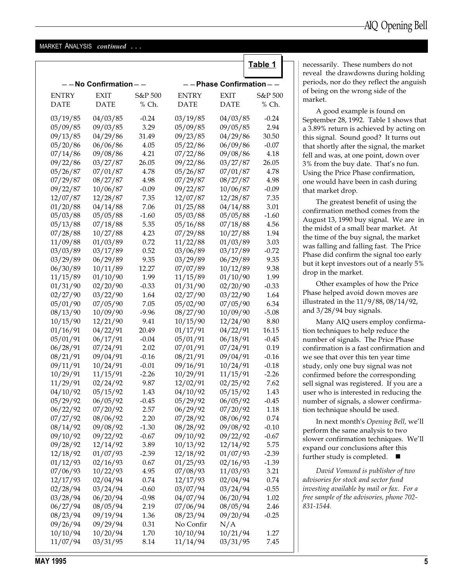#### MARKET ANALYSIS continued ...

## Table 1

| $- -$ No Confirmation $- -$ |             |         | - - Phase Confirmation - - |             |         |  |
|-----------------------------|-------------|---------|----------------------------|-------------|---------|--|
| <b>ENTRY</b>                | <b>EXIT</b> | S&P 500 | <b>ENTRY</b>               | <b>EXIT</b> | S&P 500 |  |
| <b>DATE</b>                 | <b>DATE</b> | $%$ Ch. | <b>DATE</b>                | <b>DATE</b> | % Ch.   |  |
| 03/19/85                    | 04/03/85    | $-0.24$ | 03/19/85                   | 04/03/85    | $-0.24$ |  |
| 05/09/85                    | 09/03/85    | 3.29    | 05/09/85                   | 09/05/85    | 2.94    |  |
| 09/13/85                    | 04/29/86    | 31.49   | 09/23/85                   | 04/29/86    | 30.50   |  |
| 05/20/86                    | 06/06/86    | 4.05    | 05/22/86                   | 06/09/86    | $-0.07$ |  |
| 07/14/86                    | 09/08/86    | 4.21    | 07/22/86                   | 09/08/86    | 4.18    |  |
| 09/22/86                    | 03/27/87    | 26.05   | 09/22/86                   | 03/27/87    | 26.05   |  |
| 05/26/87                    | 07/01/87    | 4.78    | 05/26/87                   | 07/01/87    | 4.78    |  |
| 07/29/87                    | 08/27/87    | 4.98    | 07/29/87                   | 08/27/87    | 4.98    |  |
| 09/22/87                    | 10/06/87    | $-0.09$ | 09/22/87                   | 10/06/87    | $-0.09$ |  |
| 12/07/87                    | 12/28/87    | 7.35    | 12/07/87                   | 12/28/87    | 7.35    |  |
| 01/20/88                    | 04/14/88    | 7.06    | 01/25/88                   | 04/14/88    | 3.01    |  |
| 05/03/88                    | 05/05/88    | $-1.60$ | 05/03/88                   | 05/05/88    | $-1.60$ |  |
| 05/13/88                    | 07/18/88    | 5.35    | 05/16/88                   | 07/18/88    | 4.56    |  |
| 07/28/88                    | 10/27/88    | 4.23    | 07/29/88                   | 10/27/88    | 1.94    |  |
| 11/09/88                    | 01/03/89    | 0.72    | 11/22/88                   | 01/03/89    | 3.03    |  |
| 03/03/89                    | 03/17/89    | 0.52    | 03/06/89                   | 03/17/89    | $-0.72$ |  |
| 03/29/89                    | 06/29/89    | 9.35    | 03/29/89                   | 06/29/89    | 9.35    |  |
| 06/30/89                    | 10/11/89    | 12.27   | 07/07/89                   | 10/12/89    | 9.38    |  |
| 11/15/89                    | 01/10/90    | 1.99    | 11/15/89                   | 01/10/90    | 1.99    |  |
| 01/31/90                    | 02/20/90    | $-0.33$ | 01/31/90                   | 02/20/90    | $-0.33$ |  |
| 02/27/90                    | 03/22/90    | 1.64    | 02/27/90                   | 03/22/90    | 1.64    |  |
| 05/01/90                    | 07/05/90    | 7.05    | 05/02/90                   | 07/05/90    | 6.34    |  |
| 08/13/90                    | 10/09/90    | $-9.96$ | 08/27/90                   | 10/09/90    | $-5.08$ |  |
| 10/15/90                    | 12/21/90    | 9.41    | 10/15/90                   | 12/24/90    | 8.80    |  |
| 01/16/91                    | 04/22/91    | 20.49   | 01/17/91                   | 04/22/91    | 16.15   |  |
| 05/01/91                    | 06/17/91    | $-0.04$ | 05/01/91                   | 06/18/91    | $-0.45$ |  |
| 06/28/91                    | 07/24/91    | 2.02    | 07/01/91                   | 07/24/91    | 0.19    |  |
| 08/21/91                    | 09/04/91    | $-0.16$ | 08/21/91                   | 09/04/91    | $-0.16$ |  |
| 09/11/91                    | 10/24/91    | $-0.01$ | 09/16/91                   | 10/24/91    | $-0.18$ |  |
| 10/29/91                    | 11/15/91    | $-2.26$ | 10/29/91                   | 11/15/91    | $-2.26$ |  |
| 11/29/91                    | 02/24/92    | 9.87    | 12/02/91                   | 02/25/92    | 7.62    |  |
| 04/10/92                    | 05/15/92    | 1.43    | 04/10/92                   | 05/15/92    | 1.43    |  |
| 05/29/92                    | 06/05/92    | $-0.45$ | 05/29/92                   | 06/05/92    | $-0.45$ |  |
| 06/22/92                    | 07/20/92    | 2.57    | 06/29/92                   | 07/20/92    | 1.18    |  |
| 07/27/92                    | 08/06/92    | 2.20    | 07/28/92                   | 08/06/92    | 0.74    |  |
| 08/14/92                    | 09/08/92    | $-1.30$ | 08/28/92                   | 09/08/92    | $-0.10$ |  |
| 09/10/92                    | 09/22/92    | $-0.67$ | 09/10/92                   | 09/22/92    | $-0.67$ |  |
| 09/28/92                    | 12/14/92    | 3.89    | 10/13/92                   | 12/14/92    | 5.75    |  |
| 12/18/92                    | 01/07/93    | $-2.39$ | 12/18/92                   | 01/07/93    | $-2.39$ |  |
| 01/12/93                    | 02/16/93    | 0.67    | 01/25/93                   | 02/16/93    | $-1.39$ |  |
| 07/06/93                    | 10/22/93    | 4.95    | 07/08/93                   | 11/03/93    | 3.21    |  |
| 12/17/93                    | 02/04/94    | 0.74    | 12/17/93                   | 02/04/94    | 0.74    |  |
| 02/28/94                    | 03/24/94    | $-0.60$ | 03/07/94                   | 03/24/94    | $-0.55$ |  |
| 03/28/94                    | 06/20/94    | $-0.98$ | 04/07/94                   | 06/20/94    | 1.02    |  |
| 06/27/94                    | 08/05/94    | 2.19    | 07/06/94                   | 08/05/94    | 2.46    |  |
| 08/23/94                    | 09/19/94    | 1.36    | 08/23/94                   | 09/20/94    | $-0.25$ |  |
| 09/26/94                    | 09/29/94    | 0.31    | No Confir                  | N/A         |         |  |
| 10/10/94                    | 10/20/94    | 1.70    | 10/10/94                   | 10/21/94    | 1.27    |  |
| 11/07/94                    | 03/31/95    | 8.14    | 11/14/94                   | 03/31/95    | 7.45    |  |

necessarily. These numbers do not reveal the drawdowns during holding periods, nor do they reflect the anguish of being on the wrong side of the market.

A good example is found on September 28, 1992. Table 1 shows that a 3.89% return is achieved by acting on this signal. Sound good? It turns out that shortly after the signal, the market fell and was, at one point, down over 3% from the buy date. That's no fun. Using the Price Phase confirmation, one would have been in cash during that market drop.

The greatest benefit of using the confirmation method comes from the August 13, 1990 buy signal. We are in the midst of a small bear market. At the time of the buy signal, the market was falling and falling fast. The Price Phase did confirm the signal too early but it kept investors out of a nearly 5% drop in the market.

Other examples of how the Price Phase helped avoid down moves are illustrated in the 11/9/88, 08/14/92, and 3/28/94 buy signals.

Many AIQ users employ confirmation techniques to help reduce the number of signals. The Price Phase confirmation is a fast confirmation and we see that over this ten year time study, only one buy signal was not confirmed before the corresponding sell signal was registered. If you are a user who is interested in reducing the number of signals, a slower confirmation technique should be used.

In next month's Opening Bell, we'll perform the same analysis to two slower confirmation techniques. We'll expand our conclusions after this further study is completed.  $\blacksquare$ 

David Vomund is publisher of two advisories for stock and sector fund investing available by mail or fax. For a free sample of the advisories, phone 702- 831-1544.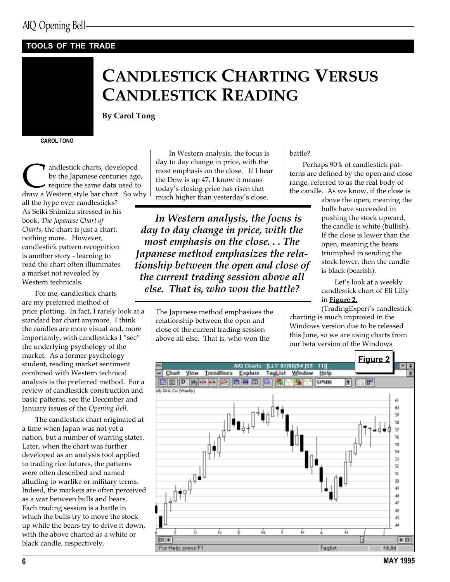#### TOOLS OF THE TRADE



## CANDLESTICK CHARTING VERSUS CANDLESTICK READING

By Carol Tong

CAROL TONG

andlestick charts, developed<br>by the Japanese centuries ago,<br>require the same data used to<br>draw a Western style bar chart. So why by the Japanese centuries ago, require the same data used to all the hype over candlesticks? As Seiki Shimizu stressed in his book, The Japanese Chart of Charts, the chart is just a chart, nothing more. However, candlestick pattern recognition is another story - learning to read the chart often illuminates a market not revealed by Western technicals.

For me, candlestick charts are my preferred method of price plotting. In fact, I rarely look at a standard bar chart anymore. I think the candles are more visual and, more importantly, with candlesticks I "see" the underlying psychology of the market. As a former psychology student, reading market sentiment combined with Western technical analysis is the preferred method. For a review of candlestick construction and basic patterns, see the December and January issues of the Opening Bell.

The candlestick chart originated at a time when Japan was not yet a nation, but a number of warring states. Later, when the chart was further developed as an analysis tool applied to trading rice futures, the patterns were often described and named alluding to warlike or military terms. Indeed, the markets are often perceived as a war between bulls and bears. Each trading session is a battle in which the bulls try to move the stock up while the bears try to drive it down, with the above charted as a white or black candle, respectively.

In Western analysis, the focus is day to day change in price, with the most emphasis on the close. If I hear the Dow is up 47, I know it means today's closing price has risen that much higher than yesterday's close.

In Western analysis, the focus is day to day change in price, with the most emphasis on the close. . . The Japanese method emphasizes the relationship between the open and close of the current trading session above all else. That is, who won the battle?

> The Japanese method emphasizes the relationship between the open and close of the current trading session above all else. That is, who won the

battle?

Perhaps 90% of candlestick patterns are defined by the open and close range, referred to as the real body of the candle. As we know, if the close is

above the open, meaning the bulls have succeeded in pushing the stock upward, the candle is white (bullish). If the close is lower than the open, meaning the bears triumphed in sending the stock lower, then the candle is black (bearish).

Let's look at a weekly candlestick chart of Eli Lilly in Figure 2.

(TradingExpert's candlestick charting is much improved in the Windows version due to be released this June, so we are using charts from our beta version of the Windows

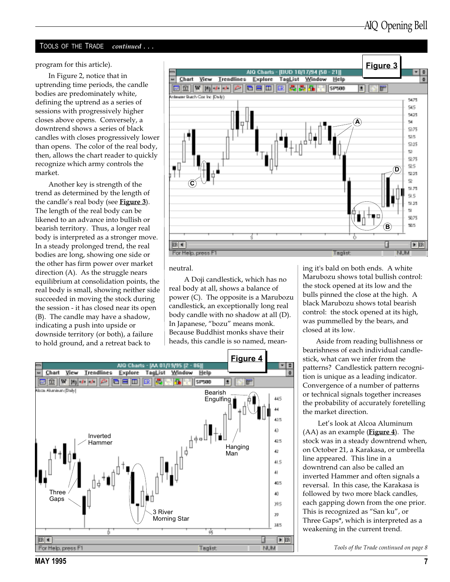#### TOOLS OF THE TRADE continued . . .

program for this article).

In Figure 2, notice that in uptrending time periods, the candle bodies are predominately white, defining the uptrend as a series of sessions with progressively higher closes above opens. Conversely, a downtrend shows a series of black candles with closes progressively lower than opens. The color of the real body, then, allows the chart reader to quickly recognize which army controls the market.

Another key is strength of the trend as determined by the length of the candle's real body (see  $Figure 3$ ). The length of the real body can be likened to an advance into bullish or bearish territory. Thus, a longer real body is interpreted as a stronger move. In a steady prolonged trend, the real bodies are long, showing one side or the other has firm power over market direction (A). As the struggle nears equilibrium at consolidation points, the real body is small, showing neither side succeeded in moving the stock during the session - it has closed near its open (B). The candle may have a shadow, indicating a push into upside or downside territory (or both), a failure to hold ground, and a retreat back to



neutral.

 A Doji candlestick, which has no real body at all, shows a balance of power (C). The opposite is a Marubozu candlestick, an exceptionally long real body candle with no shadow at all (D). In Japanese, "bozu" means monk. Because Buddhist monks shave their heads, this candle is so named, mean-



ing it's bald on both ends. A white Marubozu shows total bullish control: the stock opened at its low and the bulls pinned the close at the high. A black Marubozu shows total bearish control: the stock opened at its high, was pummelled by the bears, and closed at its low.

Aside from reading bullishness or bearishness of each individual candlestick, what can we infer from the patterns? Candlestick pattern recognition is unique as a leading indicator. Convergence of a number of patterns or technical signals together increases the probability of accurately foretelling the market direction.

Let's look at Alcoa Aluminum  $(AA)$  as an example (**Figure 4**). The stock was in a steady downtrend when, on October 21, a Karakasa, or umbrella line appeared. This line in a downtrend can also be called an inverted Hammer and often signals a reversal. In this case, the Karakasa is followed by two more black candles, each gapping down from the one prior. This is recognized as "San ku", or Three Gaps\*, which is interpreted as a weakening in the current trend.

Tools of the Trade continued on page 8